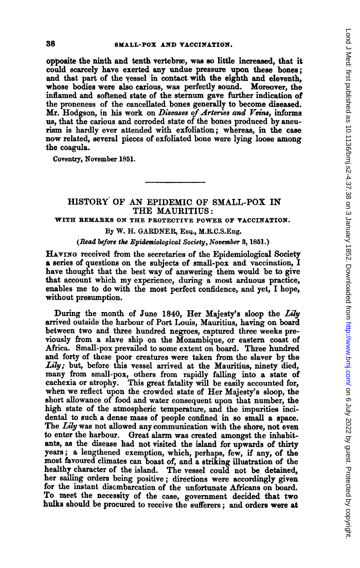oppOsite the ninth and tenth vertebre, was so little increased, that it could scarcely have exerted any undue pressure upon these bones; and that part of the vessel in contact with the eighth and eleventh, whose bodies were also carious, was perfectly sound. Moreover, the inflamed and softened state of the sternum gave further indication of the proneness of the cancellated bones generally to become diseased. Mr. Hodgson, in his work on Diseases of Arteries and Veins, informs us, that the carious and corroded state of the bones produced by aneurism is hardly ever attended with exfoliation; whereas, in the case now related, several pieces of exfoliated bone were lying loose among the coagula.

Coventry, November 18S1.

## HISTORY OF AN EPIDEMIC OF SMALL-POX IN THE MAURITIUS:

## WITH REMARKS ON THE PROTECTIVE POWER OF VACCINATION.

## By W. H. GARDNER, Esq., M.R.C.S.Eng.

(Read before the Epidemiological Society, November 3, 1851.)

HAVING received from the secretaries of the Epidemiological Society a series of questions on the subjects of small-pox and vaccination, I have thought that the best way of answering them would be to give that account which my experience, during <sup>a</sup> most arduous practice, enables me to do with the most perfect confidence, and yet, <sup>I</sup> hope, without presumption.

During the month of June 1840, Her Majesty's sloop the Lily arrived outside the harbour of Port Louis, Mauritius, having on board between two and three hundred negroes, captured three weeks previously from a slave ship on the Mozambique, or eastern coast of Africa. Small-pox prevailed to some extent on board. Three hundred and forty of these poor creatures were taken from the slaver by the Lily; but, before this vessel arrived at the Mauritius, ninety died, many from small-pox, others from rapidly falling into a state of cachexia or atrophy. This great fatality will be easily accounted for, when we reflect upon the crowded state of Her Majesty's sloop, the short allowance of food and water consequent upon that number, the high state of the atmospheric temperature, and the impurities incidental to such a dense mass of people confined in so small a space. The Lily was not allowed any communication with the shore, not even to enter the harbour. Great alarm was created amongst the inhabitants, as the disease had not visited the island for upwards of thirty years; a lengthened exemption, which, perhaps, few, if any, of the most favoured climates can boast of, and a striking illustration of the healthy character of the island. The vessel could not be detained, her sailing orders being positive; directions were accordingly given for the instant disembarcation of the unfortunate Africans on board. To meet the necessity of the case, government decided that two hulks should be procured to receive the sufferers; and orders were at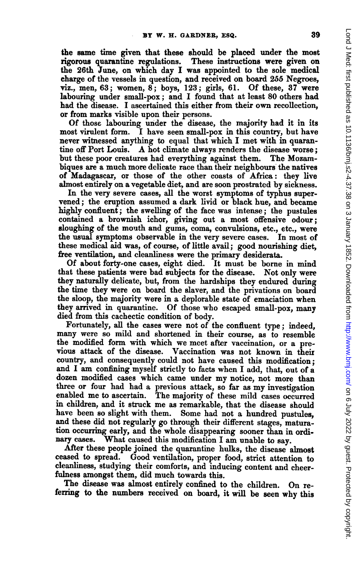the same time given that these should be placed under the most rigorous quarantine regulations. These instructions were given on the 26th June, on which day I was appointed to the sole medical charge of the vessels in question, and received on board 255 Negroes, viz., men, 63; women, 8; boys, 123; girls, 61. Of these, 37 were labouring under small-pox; and I found that at least 80 others had had the disease. <sup>I</sup> ascertained this either from their own recollection, or from marks visible upon their persons.

Of those labouring under the disease, the majority had it in its most virulent form. <sup>I</sup> have seen small-pox in this country, but have never witnessed anything to equal that which I met with in quarantine off Port Louis. A hot climate always renders the disease worse; but these poor creatures had everything against them. The Mozambiques are a much more delicate race than their neighbours the natives of Madagascar, or those of the other coasts of Africa: they live almost entirely on a vegetable diet, and are soon prostrated by sickness.

In the very severe cases, all the worst symptoms of typhus supervened; the eruption assumed a dark livid or black hue, and became highly confluent; the swelling of the face was intense; the pustules contained a brownish ichor, giving out a most offensive odour; sloughing of the mouth and gums, coma, convulsions, etc., etc., were the usual symptoms observable in the very severe cases. In most of these medical aid was, of course, of little avail; good nourishing diet, free ventilation, and cleanliness were the primary desiderata.

Of about forty-one cases, eight died. It must be borne in mind that these patients were bad subjects for the disease. Not only were they naturally delicate, but, from the hardships they endured during the time they were on board the slaver, and the privations on board the sloop, the majority were in a deplorable state of emaciation when they arrived in quarantine. Of those who escaped small-pox, many died from this cachectic condition of body.

Fortunately, all the cases were not of the confluent type; indeed, many were so mild and shortened in their course, as to resemble the modified form with which we meet after vaccination, or a pre-Vaccination was not known in their country, and consequently could not have caused this modification; and <sup>I</sup> am confining myself strictly to facts when <sup>I</sup> add, that, out of <sup>a</sup> dozen modified cases which came under my notice, not more than three or four had had a previous attack, so far as my investigation enabled me to ascertain. The majority of these mild cases occurred The majority of these mild cases occurred in children, and it struck me as remarkable, that the disease should have been so slight with them. Some had not a hundred pustules, and these did not regularly go through their different stages, maturation occurring early, and the whole disappearing sooner than in ordinary cases. What caused this modification I am unable to say.

After these people joined the quarantine hulks, the disease almost ceased to spread. Good ventilation, proper food, strict attention to cleanliness, studying their comforts, and inducing content and cheerfulness amongst them, did much towards this.

The disease was almost entirely confined to the children. On referring to the numbers received on board, it will be seen why this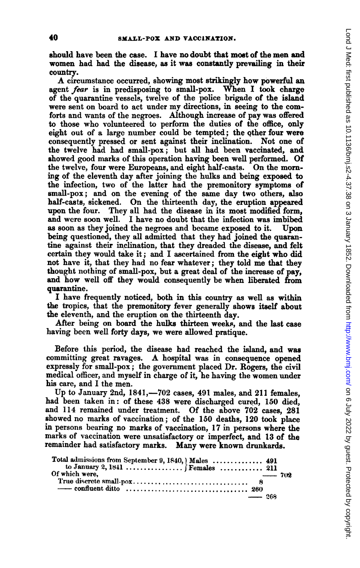should have been the case. <sup>I</sup> have no doubt that most of the men and women had had the disease, as it was constantly prevailing in their country.

A circumstance occurred, showing most strikingly how powerful an agent fear is in predisposing to small-pox. When I took charge of the quarantine vessels, twelve of the police brigade of the island were sent on board to act under my directions, in seeing to the comforts and wants of the negroes. Although increase of pay was offered to those who volunteered to perform the duties of the office, only eight out of a large number could be tempted; the other four were consequently pressed or sent against their inclination. Not one of the twelve had had small-pox; but all had been vaccinated, and showed good marks of this operation having been well performed. Of the twelve, four were Europeans, and eight half-casts. On the morning of the eleventh day after joining the hulks and being exposed to the infection, two of the latter had the premonitory symptoms of small-pox; and on the evening of the same day two others, also half-casts, sickened. On the thirteenth day, the eruption appeared upon the four. They all had the disease in its most modified form, and were soon well. I have no doubt that the infection was imbibed as soon as they joined the negroes and became exposed to it. Upon being questioned, they all admitted that they had joined the quarantine against their inclination, that they dreaded the disease, and felt certain they would take it; and <sup>I</sup> ascertained from the eight who did not have it, that they had no fear whatever; they told me that they thought nothing of small-pox, but a great deal of the increase of pay, and how well off they would consequently be when liberated from quarantine.

I have frequently noticed, both in this country as well as within the tropics, that the premonitory fever generally shows itself about the eleventh, and the eruption on the thirteenth day.

After being on board the hulks thirteen weeks, and the last case having been well forty days, we were allowed pratique.

Before this period, the disease had reached the island, and was committing great ravages. A hospital was in consequence opened expressly for small-pox; the government placed Dr. Rogers, the civil medical officer, and myself in charge of it, he having the women under his care, and I the men.

Up to January 2nd, 1841,-702 cases, 491 males, and 211 females, had been taken in: of these 438 were discharged cured, 150 died, and 114 remained under treatment. Of the above 702 cases, 281 showed no marks of vaccination; of the 150 deaths, 120 took place in persons bearing no marks of vaccination, 17 in persons where the marks of vaccination were unsatisfactory or imperfect, and 13 of the remainder had satisfactory marks. Many were known drunkards.

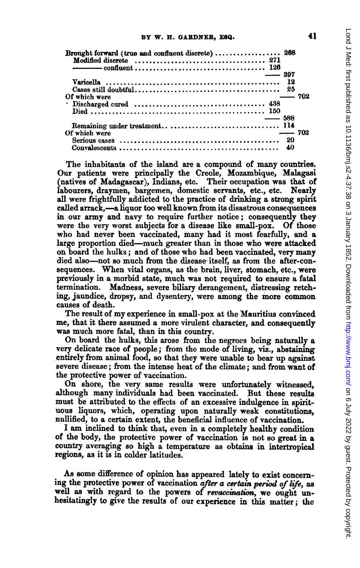| Brought forward (true and confluent discrete)  268 |         |  |
|----------------------------------------------------|---------|--|
|                                                    |         |  |
| -- 397                                             |         |  |
|                                                    |         |  |
| Of which were                                      | $- 702$ |  |
|                                                    |         |  |
|                                                    |         |  |
| ———— 588                                           |         |  |
|                                                    |         |  |
| Of which were                                      | --- 702 |  |
|                                                    |         |  |
|                                                    |         |  |

The inhabitants of the island are a compound of many countries. Our patients were principally the Creole, Mozambique, Malagasi (natives of Madagascar), Indians, etc. Their occupation was that of labourers, draymen, bargemen, domestic servants, etc., etc. Nearly all were frightfully addicted to the practice of drinking a strong spirit called arrack,-a liquor too well known from its disastrous consequences in our army and navy to require further notice; consequently they were the very worst subjects for a disease like small-pox. Of those who had never been vaccinated, many had it most fearfully, and a large proportion died-much greater than in those who were attacked on board the hulks; and of those who had been vaccinated, very many died also—not so much from the disease itself, as from the after-consequences. When vital organs, as the brain, liver, stomach, etc., were previously in a morbid state, much was not required to ensure a fatal termination. Madness, severe biliary derangement, distressing retching, jaundice, dropsy, and dysentery, were among the more common causes of death.

The result of my experience in small-pox at the Mauritius convinced me, that it there assumed a more virulent character, and consequently was much more fatal, than in this country.

On board the hulks, this arose from the negroes being naturally a very delicate race of people; from the mode of living, viz., abstaining entirely from animal food, so that they were unable to bear up against severe disease; from the intense heat of the climate; and from want of the protective power of vaccination.

On shore, the very same results were unfortunately witnessed, although many individuals had been vaccinated. But these results must be attributed to the effects of an excessive indulgence in spirituous liquors, which, operating upon naturally weak constitutions, nullified, to a certain extent, the beneficial influence of vaccination.

<sup>I</sup> am inclined to think that, even in a completely healthy condition of the body, the protective power of vaccination is not so great in a country averaging so high a temperature as obtains in intertropical regions, as it is in colder latitudes.

As some difference of opinion has appeared lately to exist concerning the protective power of vaccination after a certain period of life, as well as with regard to the powers of revaccination, we ought unhesitatingly to give the results of our experience in this matter; the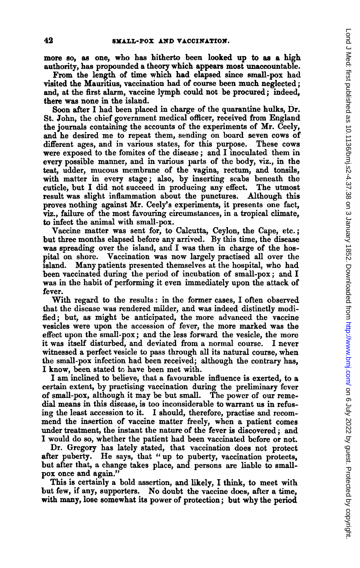more so, as one, who has hitherto been looked up to as a high authority, has propounded a theory which appears most unaccountable.

From the length of time which had elapsed since small-pox had visited the Mauritius, vaccination had of course been much neglected; and, at the first alarm, vaccine lymph could not be procured; indeed, there was none in the island.

Soon after I had been placed in charge of the quarantine hulks, Dr. St. John, the chief government medical officer, received from England the journals containing the accounts of the experiments of Mr. Ceely, and he desired me to repeat them, sending on board seven cows of different ages, and in various states, for this purpose. These cows were exposed to the fomites of the disease; and <sup>I</sup> inoculated them in every possible manner, and in various parts of the body, viz., in the teat, udder, mucous membrane of the vagina, rectum, and tonsils, with matter in every stage; also, by inserting scabs beneath the cuticle, but I did not succeed in producing any effect. The utmost result was slight inflammation about the punctures. Although this proves nothing against Mr. Ceely's experiments, it presents one fact, viz., failure of the most favouring circumstances, in a tropical climate, to infect the animal with small-pox.

Vaccine matter was sent for, to Calcutta, Ceylon, the Cape, etc.; but three months elapsed before any arrived. By this time, the disease was spreading over the island, and I was then in charge of the hospital on shore. Vaccination was now largely practised all over the island. Many patients presented themselves at the hospital, who had been vaccinated during the period of incubation of small-pox; and I was in the habit of performing it even immediately upon the attack of fever.

With regard to the results: in the former cases, <sup>I</sup> often observed that the disease was rendered milder, and was indeed distinctly modified; but, as might be anticipated, the more advanced the vaccine vesicles were upon the accession of fever, the more marked was the -effect upon the small-pox; and the less forward the vesicle, the more it was itself disturbed, and deviated from a normal course. I never witnessed a perfect vesicle to pass through all its natural course, when the small-pox infection had been received; although the contrary has, I know, been stated to have been met with.

<sup>I</sup> am inclined to believe, that a favourable influence is exerted, to a certain extent, by practising vaccination during the preliminary fever of small-pox, although it may be but small. The power of our remedial means in this disease, is too inconsiderable to warrant us in refusing the least accession to it. I should, therefore, practise and recommend the insertion of vaccine matter freely, when a patient comes under treatment, the instant the nature of the fever is discovered; and I would do so, whether the patient had been vaccinated before or not.

Dr. Gregory has lately stated, that vaccination does not protect after puberty. He says, that " up to puberty, vaccination protects, but after that, a change takes place, and persons are liable to smallpox once and again."

This is certainly a bold assertion, and likely, I think, to meet with but few, if any, supporters. No doubt the vaccine does, after a time, with many, lose somewhat its power of protection; but why the period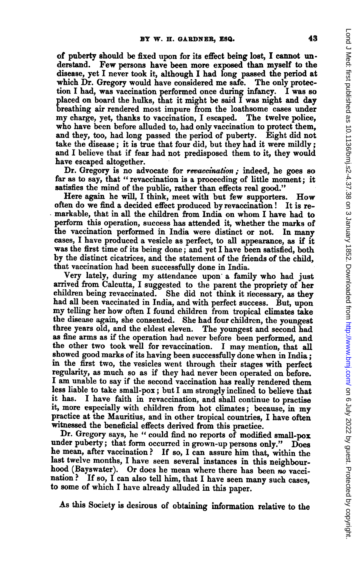of puberty should be fixed upon for its effect being lost, I cannot un-<br>derstand. Few persons have been more exposed than myself to the Few persons have been more exposed than myself to the disease, yet I never took it, although I had long passed the period at which Dr. Gregory would have considered me safe. The only protection <sup>I</sup> had, was vaccination performed once during infancy. I was so placed on board the hulks, that it might be said <sup>I</sup> was night and day breathing air rendered most impure from the loathsome cases under<br>my charge, yet, thanks to vaccination, I escaped. The twelve police, my charge, yet, thanks to vaccination, I escaped. who have been before alluded to, had only vaccination to protect them, and they, too, had long passed the period of puberty. Eight did not. take the disease; it is true that four did, but they had it were mildly; and <sup>I</sup> believe that if fear had not predisposed them to it, they would have escaped altogether.

Dr. Gregory is no advocate for revaccination; indeed, he goes so far as to say, that " revaccination is a proceeding of little moment; it satisfies the mind of the public, rather than effects real good."

Here again he will, I think, meet with but few supporters. How<br>ten do we find a decided effect produced by revaccination! It is reoften do we find a decided effect produced by revaccination! markable, that in all the children from India on whom I have had to perform this operation, success has attended it, whether the marks of the vaccination performed in India were distinct or not. In many cases, <sup>I</sup> have produced a vesicle as perfect, to all appearance, as if it was the first time of its being done; and yet <sup>I</sup> have been satisfied, both by the distinct cicatrices, and the statement of the friends of the child, that vaccination had been successfully done in India.

Very lately, during my attendance upon a family who had just arrived from Calcutta, I suggested to the parent the propriety of her children being revaccinated. She did not think it necessary, as they had all been vaccinated in India, and with perfect success. But, upon my telling her how often <sup>I</sup> found children from tropical climates take the disease again, she consented. She had four children, the youngest three years old, and the eldest eleven. The youngest and second had as fine arms as if the operation had never before been performed, and the other two took well for revaccination. <sup>I</sup> may mention, that all showed good marks of its having been successfully done when in India; in the first two, the vesicles went through their stages with perfect regularity, as much so as if they had never been operated on before. <sup>I</sup> am unable to say if the second vaccination has really rendered them less liable to take small-pox; but I am strongly inclined to believe that<br>it has. I have faith in revaccination, and shall continue to practise I have faith in revaccination, and shall continue to practise it, more especially with children from hot climates; because, in my practice at the Mauritius, and in other tropical countries, I have often witnessed the beneficial effects derived from this practice.

Dr. Gregory says, he " could find no reports of modified small-pox under puberty; that form occurred in grown-up persons only." Does he mean, after vaccination? If so, <sup>I</sup> can assure him that, within the last twelve months, <sup>I</sup> have seen several instances in this neighbourhood (Bayswater). Or does he mean where there has been no vaccination? If so, I can also tell him, that I have seen many such cases, to some of which <sup>I</sup> have already alluded in this paper.

As this Society is desirous of obtaining information relative to the